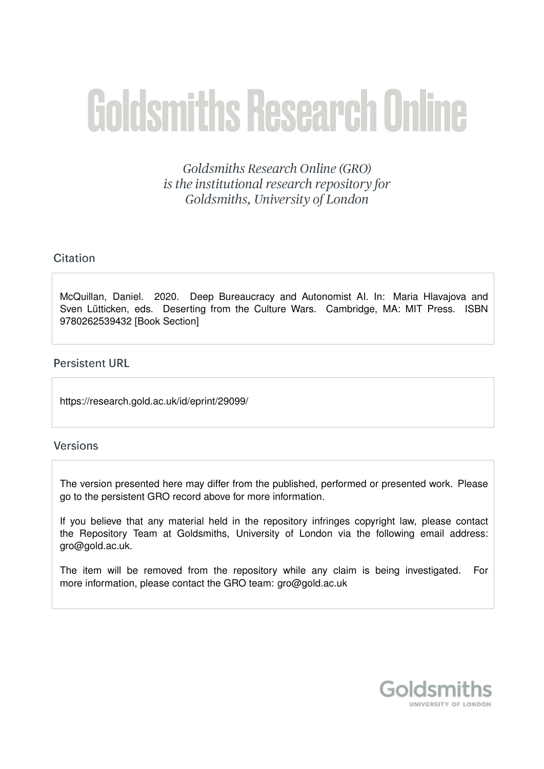# **Goldsmiths Research Online**

Goldsmiths Research Online (GRO) is the institutional research repository for Goldsmiths, University of London

#### Citation

McQuillan, Daniel. 2020. Deep Bureaucracy and Autonomist AI. In: Maria Hlavajova and Sven Lütticken, eds. Deserting from the Culture Wars. Cambridge, MA: MIT Press. ISBN 9780262539432 [Book Section]

#### **Persistent URL**

https://research.gold.ac.uk/id/eprint/29099/

#### **Versions**

The version presented here may differ from the published, performed or presented work. Please go to the persistent GRO record above for more information.

If you believe that any material held in the repository infringes copyright law, please contact the Repository Team at Goldsmiths, University of London via the following email address: gro@gold.ac.uk.

The item will be removed from the repository while any claim is being investigated. For more information, please contact the GRO team: gro@gold.ac.uk

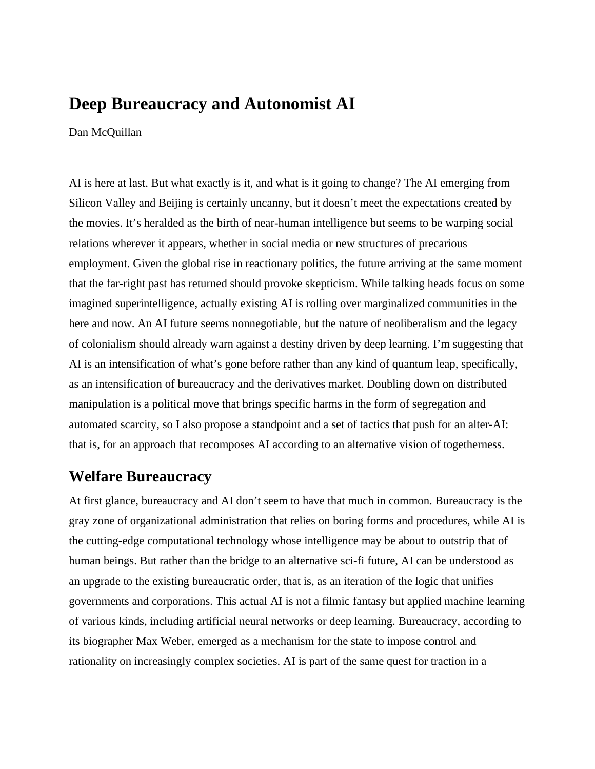## **Deep Bureaucracy and Autonomist AI**

#### Dan McQuillan

AI is here at last. But what exactly is it, and what is it going to change? The AI emerging from Silicon Valley and Beijing is certainly uncanny, but it doesn't meet the expectations created by the movies. It's heralded as the birth of near-human intelligence but seems to be warping social relations wherever it appears, whether in social media or new structures of precarious employment. Given the global rise in reactionary politics, the future arriving at the same moment that the far-right past has returned should provoke skepticism. While talking heads focus on some imagined superintelligence, actually existing AI is rolling over marginalized communities in the here and now. An AI future seems nonnegotiable, but the nature of neoliberalism and the legacy of colonialism should already warn against a destiny driven by deep learning. I'm suggesting that AI is an intensification of what's gone before rather than any kind of quantum leap, specifically, as an intensification of bureaucracy and the derivatives market. Doubling down on distributed manipulation is a political move that brings specific harms in the form of segregation and automated scarcity, so I also propose a standpoint and a set of tactics that push for an alter-AI: that is, for an approach that recomposes AI according to an alternative vision of togetherness.

## **Welfare Bureaucracy**

At first glance, bureaucracy and AI don't seem to have that much in common. Bureaucracy is the gray zone of organizational administration that relies on boring forms and procedures, while AI is the cutting-edge computational technology whose intelligence may be about to outstrip that of human beings. But rather than the bridge to an alternative sci-fi future, AI can be understood as an upgrade to the existing bureaucratic order, that is, as an iteration of the logic that unifies governments and corporations. This actual AI is not a filmic fantasy but applied machine learning of various kinds, including artificial neural networks or deep learning. Bureaucracy, according to its biographer Max Weber, emerged as a mechanism for the state to impose control and rationality on increasingly complex societies. AI is part of the same quest for traction in a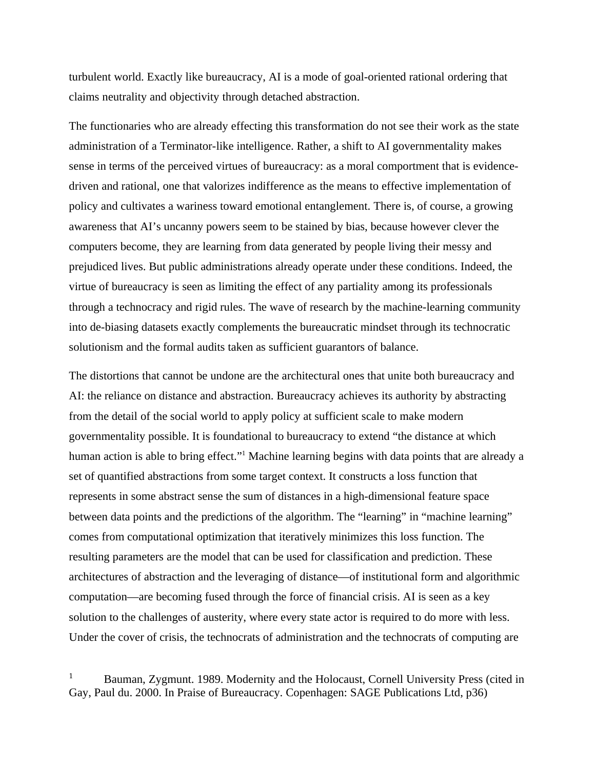turbulent world. Exactly like bureaucracy, AI is a mode of goal-oriented rational ordering that claims neutrality and objectivity through detached abstraction.

The functionaries who are already effecting this transformation do not see their work as the state administration of a Terminator-like intelligence. Rather, a shift to AI governmentality makes sense in terms of the perceived virtues of bureaucracy: as a moral comportment that is evidencedriven and rational, one that valorizes indifference as the means to effective implementation of policy and cultivates a wariness toward emotional entanglement. There is, of course, a growing awareness that AI's uncanny powers seem to be stained by bias, because however clever the computers become, they are learning from data generated by people living their messy and prejudiced lives. But public administrations already operate under these conditions. Indeed, the virtue of bureaucracy is seen as limiting the effect of any partiality among its professionals through a technocracy and rigid rules. The wave of research by the machine-learning community into de-biasing datasets exactly complements the bureaucratic mindset through its technocratic solutionism and the formal audits taken as sufficient guarantors of balance.

The distortions that cannot be undone are the architectural ones that unite both bureaucracy and AI: the reliance on distance and abstraction. Bureaucracy achieves its authority by abstracting from the detail of the social world to apply policy at sufficient scale to make modern governmentality possible. It is foundational to bureaucracy to extend "the distance at which human action is able to bring effect."<sup>[1](#page-2-0)</sup> Machine learning begins with data points that are already a set of quantified abstractions from some target context. It constructs a loss function that represents in some abstract sense the sum of distances in a high-dimensional feature space between data points and the predictions of the algorithm. The "learning" in "machine learning" comes from computational optimization that iteratively minimizes this loss function. The resulting parameters are the model that can be used for classification and prediction. These architectures of abstraction and the leveraging of distance—of institutional form and algorithmic computation—are becoming fused through the force of financial crisis. AI is seen as a key solution to the challenges of austerity, where every state actor is required to do more with less. Under the cover of crisis, the technocrats of administration and the technocrats of computing are

<span id="page-2-0"></span><sup>1</sup> Bauman, Zygmunt. 1989. Modernity and the Holocaust, Cornell University Press (cited in Gay, Paul du. 2000. In Praise of Bureaucracy. Copenhagen: SAGE Publications Ltd, p36)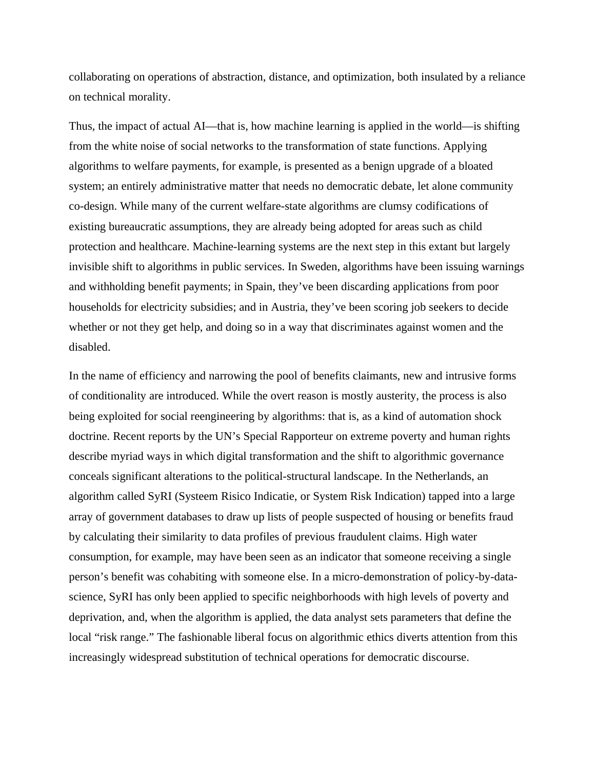collaborating on operations of abstraction, distance, and optimization, both insulated by a reliance on technical morality.

Thus, the impact of actual AI—that is, how machine learning is applied in the world—is shifting from the white noise of social networks to the transformation of state functions. Applying algorithms to welfare payments, for example, is presented as a benign upgrade of a bloated system; an entirely administrative matter that needs no democratic debate, let alone community co-design. While many of the current welfare-state algorithms are clumsy codifications of existing bureaucratic assumptions, they are already being adopted for areas such as child protection and healthcare. Machine-learning systems are the next step in this extant but largely invisible shift to algorithms in public services. In Sweden, algorithms have been issuing warnings and withholding benefit payments; in Spain, they've been discarding applications from poor households for electricity subsidies; and in Austria, they've been scoring job seekers to decide whether or not they get help, and doing so in a way that discriminates against women and the disabled.

In the name of efficiency and narrowing the pool of benefits claimants, new and intrusive forms of conditionality are introduced. While the overt reason is mostly austerity, the process is also being exploited for social reengineering by algorithms: that is, as a kind of automation shock doctrine. Recent reports by the UN's Special Rapporteur on extreme poverty and human rights describe myriad ways in which digital transformation and the shift to algorithmic governance conceals significant alterations to the political-structural landscape. In the Netherlands, an algorithm called SyRI (Systeem Risico Indicatie, or System Risk Indication) tapped into a large array of government databases to draw up lists of people suspected of housing or benefits fraud by calculating their similarity to data profiles of previous fraudulent claims. High water consumption, for example, may have been seen as an indicator that someone receiving a single person's benefit was cohabiting with someone else. In a micro-demonstration of policy-by-datascience, SyRI has only been applied to specific neighborhoods with high levels of poverty and deprivation, and, when the algorithm is applied, the data analyst sets parameters that define the local "risk range." The fashionable liberal focus on algorithmic ethics diverts attention from this increasingly widespread substitution of technical operations for democratic discourse.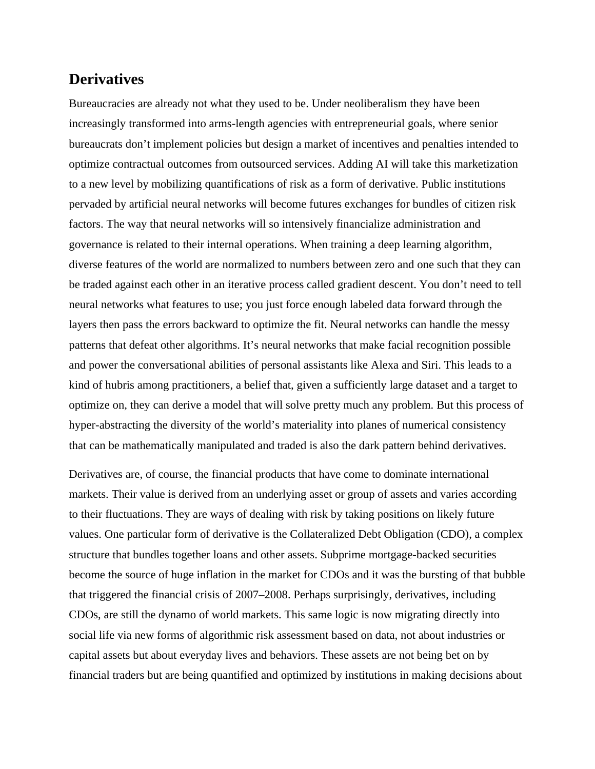#### **Derivatives**

Bureaucracies are already not what they used to be. Under neoliberalism they have been increasingly transformed into arms-length agencies with entrepreneurial goals, where senior bureaucrats don't implement policies but design a market of incentives and penalties intended to optimize contractual outcomes from outsourced services. Adding AI will take this marketization to a new level by mobilizing quantifications of risk as a form of derivative. Public institutions pervaded by artificial neural networks will become futures exchanges for bundles of citizen risk factors. The way that neural networks will so intensively financialize administration and governance is related to their internal operations. When training a deep learning algorithm, diverse features of the world are normalized to numbers between zero and one such that they can be traded against each other in an iterative process called gradient descent. You don't need to tell neural networks what features to use; you just force enough labeled data forward through the layers then pass the errors backward to optimize the fit. Neural networks can handle the messy patterns that defeat other algorithms. It's neural networks that make facial recognition possible and power the conversational abilities of personal assistants like Alexa and Siri. This leads to a kind of hubris among practitioners, a belief that, given a sufficiently large dataset and a target to optimize on, they can derive a model that will solve pretty much any problem. But this process of hyper-abstracting the diversity of the world's materiality into planes of numerical consistency that can be mathematically manipulated and traded is also the dark pattern behind derivatives.

Derivatives are, of course, the financial products that have come to dominate international markets. Their value is derived from an underlying asset or group of assets and varies according to their fluctuations. They are ways of dealing with risk by taking positions on likely future values. One particular form of derivative is the Collateralized Debt Obligation (CDO), a complex structure that bundles together loans and other assets. Subprime mortgage-backed securities become the source of huge inflation in the market for CDOs and it was the bursting of that bubble that triggered the financial crisis of 2007–2008. Perhaps surprisingly, derivatives, including CDOs, are still the dynamo of world markets. This same logic is now migrating directly into social life via new forms of algorithmic risk assessment based on data, not about industries or capital assets but about everyday lives and behaviors. These assets are not being bet on by financial traders but are being quantified and optimized by institutions in making decisions about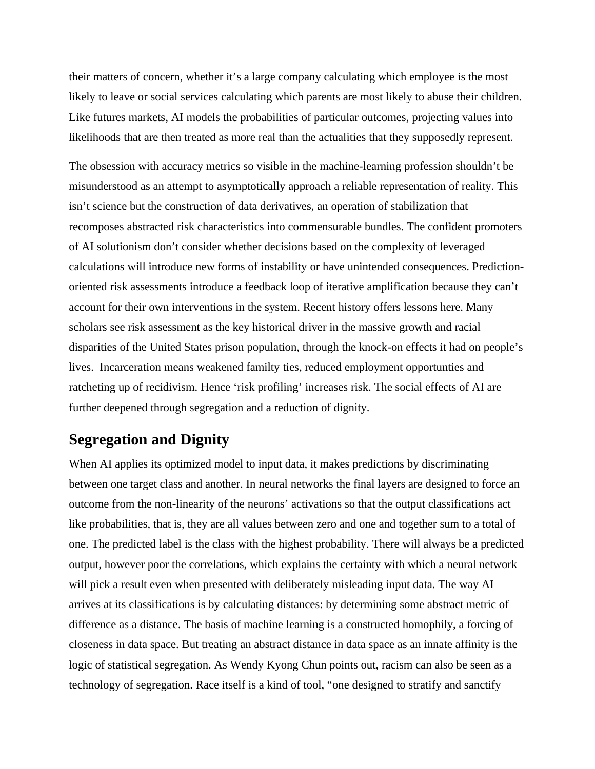their matters of concern, whether it's a large company calculating which employee is the most likely to leave or social services calculating which parents are most likely to abuse their children. Like futures markets, AI models the probabilities of particular outcomes, projecting values into likelihoods that are then treated as more real than the actualities that they supposedly represent.

The obsession with accuracy metrics so visible in the machine-learning profession shouldn't be misunderstood as an attempt to asymptotically approach a reliable representation of reality. This isn't science but the construction of data derivatives, an operation of stabilization that recomposes abstracted risk characteristics into commensurable bundles. The confident promoters of AI solutionism don't consider whether decisions based on the complexity of leveraged calculations will introduce new forms of instability or have unintended consequences. Predictionoriented risk assessments introduce a feedback loop of iterative amplification because they can't account for their own interventions in the system. Recent history offers lessons here. Many scholars see risk assessment as the key historical driver in the massive growth and racial disparities of the United States prison population, through the knock-on effects it had on people's lives. Incarceration means weakened familty ties, reduced employment opportunties and ratcheting up of recidivism. Hence 'risk profiling' increases risk. The social effects of AI are further deepened through segregation and a reduction of dignity.

## **Segregation and Dignity**

When AI applies its optimized model to input data, it makes predictions by discriminating between one target class and another. In neural networks the final layers are designed to force an outcome from the non-linearity of the neurons' activations so that the output classifications act like probabilities, that is, they are all values between zero and one and together sum to a total of one. The predicted label is the class with the highest probability. There will always be a predicted output, however poor the correlations, which explains the certainty with which a neural network will pick a result even when presented with deliberately misleading input data. The way AI arrives at its classifications is by calculating distances: by determining some abstract metric of difference as a distance. The basis of machine learning is a constructed homophily, a forcing of closeness in data space. But treating an abstract distance in data space as an innate affinity is the logic of statistical segregation. As Wendy Kyong Chun points out, racism can also be seen as a technology of segregation. Race itself is a kind of tool, "one designed to stratify and sanctify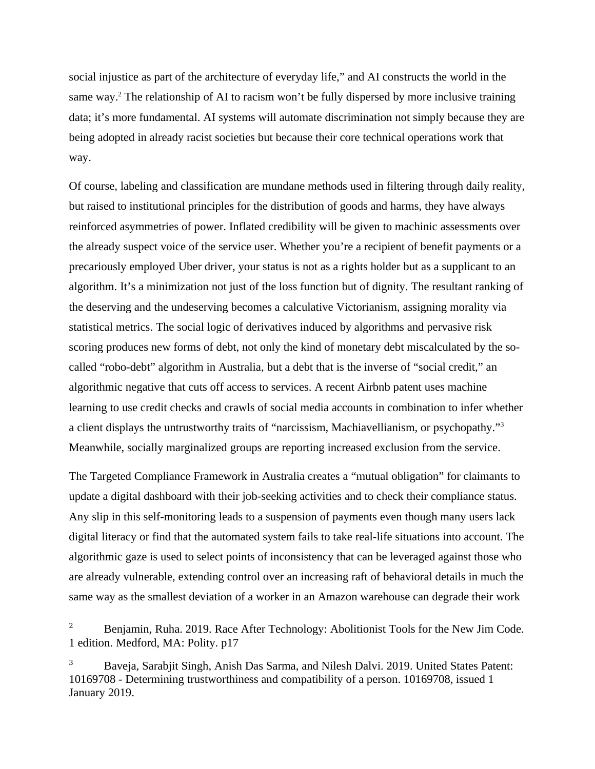social injustice as part of the architecture of everyday life," and AI constructs the world in the same way.<sup>[2](#page-6-0)</sup> The relationship of AI to racism won't be fully dispersed by more inclusive training data; it's more fundamental. AI systems will automate discrimination not simply because they are being adopted in already racist societies but because their core technical operations work that way.

Of course, labeling and classification are mundane methods used in filtering through daily reality, but raised to institutional principles for the distribution of goods and harms, they have always reinforced asymmetries of power. Inflated credibility will be given to machinic assessments over the already suspect voice of the service user. Whether you're a recipient of benefit payments or a precariously employed Uber driver, your status is not as a rights holder but as a supplicant to an algorithm. It's a minimization not just of the loss function but of dignity. The resultant ranking of the deserving and the undeserving becomes a calculative Victorianism, assigning morality via statistical metrics. The social logic of derivatives induced by algorithms and pervasive risk scoring produces new forms of debt, not only the kind of monetary debt miscalculated by the socalled "robo-debt" algorithm in Australia, but a debt that is the inverse of "social credit," an algorithmic negative that cuts off access to services. A recent Airbnb patent uses machine learning to use credit checks and crawls of social media accounts in combination to infer whether a client displays the untrustworthy traits of "narcissism, Machiavellianism, or psychopathy."[3](#page-6-1) Meanwhile, socially marginalized groups are reporting increased exclusion from the service.

The Targeted Compliance Framework in Australia creates a "mutual obligation" for claimants to update a digital dashboard with their job-seeking activities and to check their compliance status. Any slip in this self-monitoring leads to a suspension of payments even though many users lack digital literacy or find that the automated system fails to take real-life situations into account. The algorithmic gaze is used to select points of inconsistency that can be leveraged against those who are already vulnerable, extending control over an increasing raft of behavioral details in much the same way as the smallest deviation of a worker in an Amazon warehouse can degrade their work

<span id="page-6-0"></span><sup>2</sup> Benjamin, Ruha. 2019. Race After Technology: Abolitionist Tools for the New Jim Code. 1 edition. Medford, MA: Polity. p17

<span id="page-6-1"></span>Baveja, Sarabjit Singh, Anish Das Sarma, and Nilesh Dalvi. 2019. United States Patent: 10169708 - Determining trustworthiness and compatibility of a person. 10169708, issued 1 January 2019.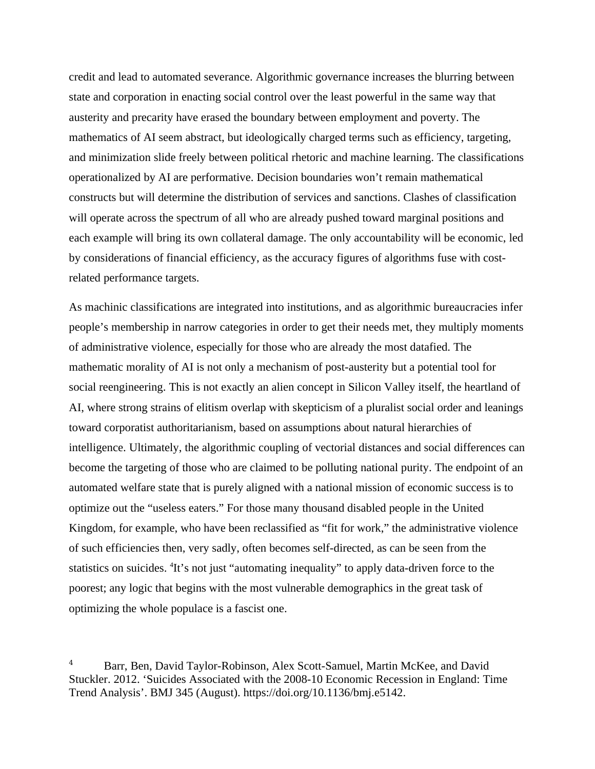credit and lead to automated severance. Algorithmic governance increases the blurring between state and corporation in enacting social control over the least powerful in the same way that austerity and precarity have erased the boundary between employment and poverty. The mathematics of AI seem abstract, but ideologically charged terms such as efficiency, targeting, and minimization slide freely between political rhetoric and machine learning. The classifications operationalized by AI are performative. Decision boundaries won't remain mathematical constructs but will determine the distribution of services and sanctions. Clashes of classification will operate across the spectrum of all who are already pushed toward marginal positions and each example will bring its own collateral damage. The only accountability will be economic, led by considerations of financial efficiency, as the accuracy figures of algorithms fuse with costrelated performance targets.

As machinic classifications are integrated into institutions, and as algorithmic bureaucracies infer people's membership in narrow categories in order to get their needs met, they multiply moments of administrative violence, especially for those who are already the most datafied. The mathematic morality of AI is not only a mechanism of post-austerity but a potential tool for social reengineering. This is not exactly an alien concept in Silicon Valley itself, the heartland of AI, where strong strains of elitism overlap with skepticism of a pluralist social order and leanings toward corporatist authoritarianism, based on assumptions about natural hierarchies of intelligence. Ultimately, the algorithmic coupling of vectorial distances and social differences can become the targeting of those who are claimed to be polluting national purity. The endpoint of an automated welfare state that is purely aligned with a national mission of economic success is to optimize out the "useless eaters." For those many thousand disabled people in the United Kingdom, for example, who have been reclassified as "fit for work," the administrative violence of such efficiencies then, very sadly, often becomes self-directed, as can be seen from the statistics on suicides. <sup>[4](#page-7-0)</sup>It's not just "automating inequality" to apply data-driven force to the poorest; any logic that begins with the most vulnerable demographics in the great task of optimizing the whole populace is a fascist one.

<span id="page-7-0"></span><sup>4</sup> Barr, Ben, David Taylor-Robinson, Alex Scott-Samuel, Martin McKee, and David Stuckler. 2012. 'Suicides Associated with the 2008-10 Economic Recession in England: Time Trend Analysis'. BMJ 345 (August). https://doi.org/10.1136/bmj.e5142.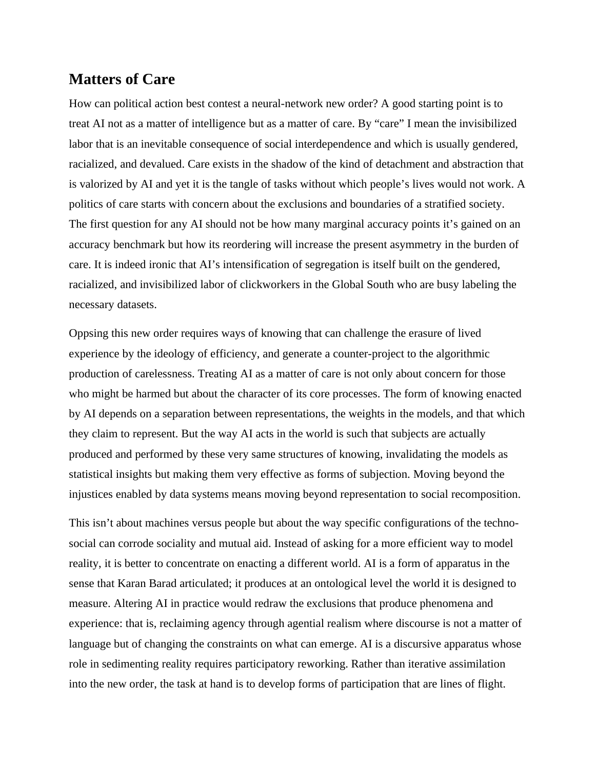## **Matters of Care**

How can political action best contest a neural-network new order? A good starting point is to treat AI not as a matter of intelligence but as a matter of care. By "care" I mean the invisibilized labor that is an inevitable consequence of social interdependence and which is usually gendered, racialized, and devalued. Care exists in the shadow of the kind of detachment and abstraction that is valorized by AI and yet it is the tangle of tasks without which people's lives would not work. A politics of care starts with concern about the exclusions and boundaries of a stratified society. The first question for any AI should not be how many marginal accuracy points it's gained on an accuracy benchmark but how its reordering will increase the present asymmetry in the burden of care. It is indeed ironic that AI's intensification of segregation is itself built on the gendered, racialized, and invisibilized labor of clickworkers in the Global South who are busy labeling the necessary datasets.

Oppsing this new order requires ways of knowing that can challenge the erasure of lived experience by the ideology of efficiency, and generate a counter-project to the algorithmic production of carelessness. Treating AI as a matter of care is not only about concern for those who might be harmed but about the character of its core processes. The form of knowing enacted by AI depends on a separation between representations, the weights in the models, and that which they claim to represent. But the way AI acts in the world is such that subjects are actually produced and performed by these very same structures of knowing, invalidating the models as statistical insights but making them very effective as forms of subjection. Moving beyond the injustices enabled by data systems means moving beyond representation to social recomposition.

This isn't about machines versus people but about the way specific configurations of the technosocial can corrode sociality and mutual aid. Instead of asking for a more efficient way to model reality, it is better to concentrate on enacting a different world. AI is a form of apparatus in the sense that Karan Barad articulated; it produces at an ontological level the world it is designed to measure. Altering AI in practice would redraw the exclusions that produce phenomena and experience: that is, reclaiming agency through agential realism where discourse is not a matter of language but of changing the constraints on what can emerge. AI is a discursive apparatus whose role in sedimenting reality requires participatory reworking. Rather than iterative assimilation into the new order, the task at hand is to develop forms of participation that are lines of flight.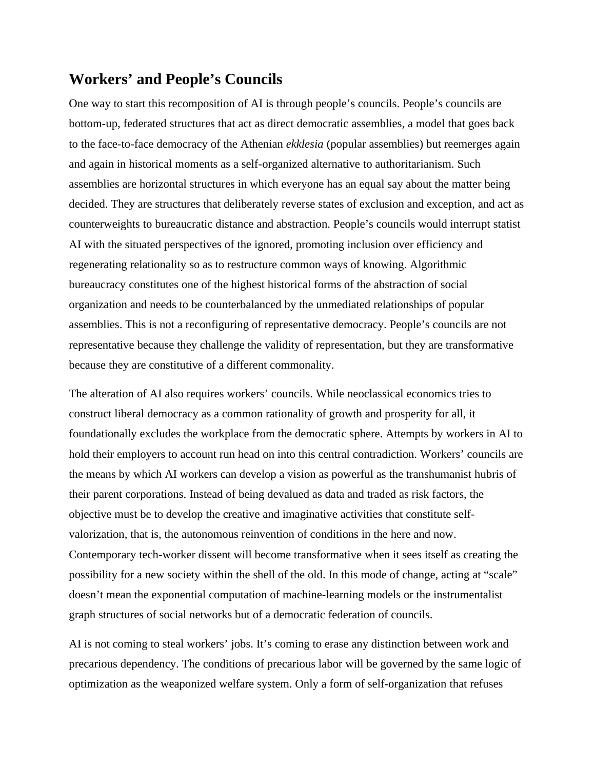## **Workers' and People's Councils**

One way to start this recomposition of AI is through people's councils. People's councils are bottom-up, federated structures that act as direct democratic assemblies, a model that goes back to the face-to-face democracy of the Athenian *ekklesia* (popular assemblies) but reemerges again and again in historical moments as a self-organized alternative to authoritarianism. Such assemblies are horizontal structures in which everyone has an equal say about the matter being decided. They are structures that deliberately reverse states of exclusion and exception, and act as counterweights to bureaucratic distance and abstraction. People's councils would interrupt statist AI with the situated perspectives of the ignored, promoting inclusion over efficiency and regenerating relationality so as to restructure common ways of knowing. Algorithmic bureaucracy constitutes one of the highest historical forms of the abstraction of social organization and needs to be counterbalanced by the unmediated relationships of popular assemblies. This is not a reconfiguring of representative democracy. People's councils are not representative because they challenge the validity of representation, but they are transformative because they are constitutive of a different commonality.

The alteration of AI also requires workers' councils. While neoclassical economics tries to construct liberal democracy as a common rationality of growth and prosperity for all, it foundationally excludes the workplace from the democratic sphere. Attempts by workers in AI to hold their employers to account run head on into this central contradiction. Workers' councils are the means by which AI workers can develop a vision as powerful as the transhumanist hubris of their parent corporations. Instead of being devalued as data and traded as risk factors, the objective must be to develop the creative and imaginative activities that constitute selfvalorization, that is, the autonomous reinvention of conditions in the here and now. Contemporary tech-worker dissent will become transformative when it sees itself as creating the possibility for a new society within the shell of the old. In this mode of change, acting at "scale" doesn't mean the exponential computation of machine-learning models or the instrumentalist graph structures of social networks but of a democratic federation of councils.

AI is not coming to steal workers' jobs. It's coming to erase any distinction between work and precarious dependency. The conditions of precarious labor will be governed by the same logic of optimization as the weaponized welfare system. Only a form of self-organization that refuses